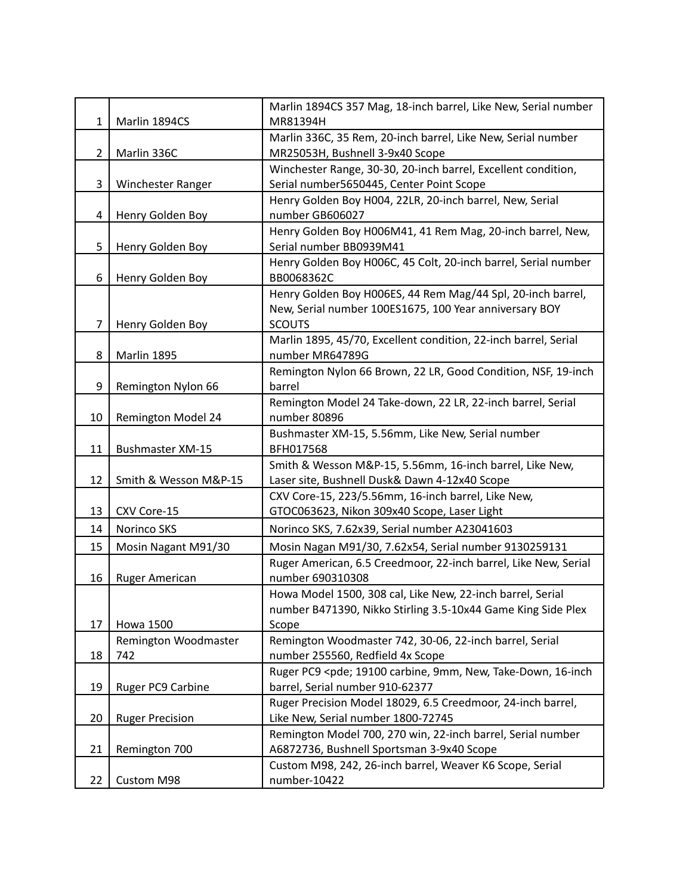| 1                     | Marlin 1894CS           | Marlin 1894CS 357 Mag, 18-inch barrel, Like New, Serial number<br>MR81394H                   |
|-----------------------|-------------------------|----------------------------------------------------------------------------------------------|
|                       |                         | Marlin 336C, 35 Rem, 20-inch barrel, Like New, Serial number                                 |
| $\mathbf{2}^{\prime}$ | Marlin 336C             | MR25053H, Bushnell 3-9x40 Scope                                                              |
|                       |                         | Winchester Range, 30-30, 20-inch barrel, Excellent condition,                                |
| 3                     | Winchester Ranger       | Serial number5650445, Center Point Scope                                                     |
|                       |                         | Henry Golden Boy H004, 22LR, 20-inch barrel, New, Serial                                     |
| 4                     | Henry Golden Boy        | number GB606027                                                                              |
|                       |                         | Henry Golden Boy H006M41, 41 Rem Mag, 20-inch barrel, New,                                   |
| 5                     | Henry Golden Boy        | Serial number BB0939M41                                                                      |
|                       |                         | Henry Golden Boy H006C, 45 Colt, 20-inch barrel, Serial number                               |
| 6                     | Henry Golden Boy        | BB0068362C                                                                                   |
|                       |                         | Henry Golden Boy H006ES, 44 Rem Mag/44 Spl, 20-inch barrel,                                  |
|                       |                         | New, Serial number 100ES1675, 100 Year anniversary BOY                                       |
| 7                     | Henry Golden Boy        | <b>SCOUTS</b><br>Marlin 1895, 45/70, Excellent condition, 22-inch barrel, Serial             |
| 8                     | Marlin 1895             | number MR64789G                                                                              |
|                       |                         | Remington Nylon 66 Brown, 22 LR, Good Condition, NSF, 19-inch                                |
| 9                     | Remington Nylon 66      | barrel                                                                                       |
|                       |                         | Remington Model 24 Take-down, 22 LR, 22-inch barrel, Serial                                  |
| 10                    | Remington Model 24      | number 80896                                                                                 |
|                       |                         | Bushmaster XM-15, 5.56mm, Like New, Serial number                                            |
| 11                    | <b>Bushmaster XM-15</b> | BFH017568                                                                                    |
|                       |                         | Smith & Wesson M&P-15, 5.56mm, 16-inch barrel, Like New,                                     |
| 12                    | Smith & Wesson M&P-15   | Laser site, Bushnell Dusk& Dawn 4-12x40 Scope                                                |
|                       |                         | CXV Core-15, 223/5.56mm, 16-inch barrel, Like New,                                           |
| 13                    | CXV Core-15             | GTOC063623, Nikon 309x40 Scope, Laser Light                                                  |
| 14                    | Norinco SKS             | Norinco SKS, 7.62x39, Serial number A23041603                                                |
| 15                    | Mosin Nagant M91/30     | Mosin Nagan M91/30, 7.62x54, Serial number 9130259131                                        |
|                       |                         | Ruger American, 6.5 Creedmoor, 22-inch barrel, Like New, Serial                              |
| 16                    | <b>Ruger American</b>   | number 690310308                                                                             |
|                       |                         | Howa Model 1500, 308 cal, Like New, 22-inch barrel, Serial                                   |
| 17                    | <b>Howa 1500</b>        | number B471390, Nikko Stirling 3.5-10x44 Game King Side Plex<br>Scope                        |
|                       | Remington Woodmaster    | Remington Woodmaster 742, 30-06, 22-inch barrel, Serial                                      |
| 18                    | 742                     | number 255560, Redfield 4x Scope                                                             |
|                       |                         | Ruger PC9 <pde; 16-inch<="" 19100="" 9mm,="" carbine,="" new,="" take-down,="" td=""></pde;> |
| 19                    | Ruger PC9 Carbine       | barrel, Serial number 910-62377                                                              |
|                       |                         | Ruger Precision Model 18029, 6.5 Creedmoor, 24-inch barrel,                                  |
| 20                    | <b>Ruger Precision</b>  | Like New, Serial number 1800-72745                                                           |
|                       |                         | Remington Model 700, 270 win, 22-inch barrel, Serial number                                  |
| 21                    | Remington 700           | A6872736, Bushnell Sportsman 3-9x40 Scope                                                    |
|                       |                         | Custom M98, 242, 26-inch barrel, Weaver K6 Scope, Serial                                     |
| 22                    | Custom M98              | number-10422                                                                                 |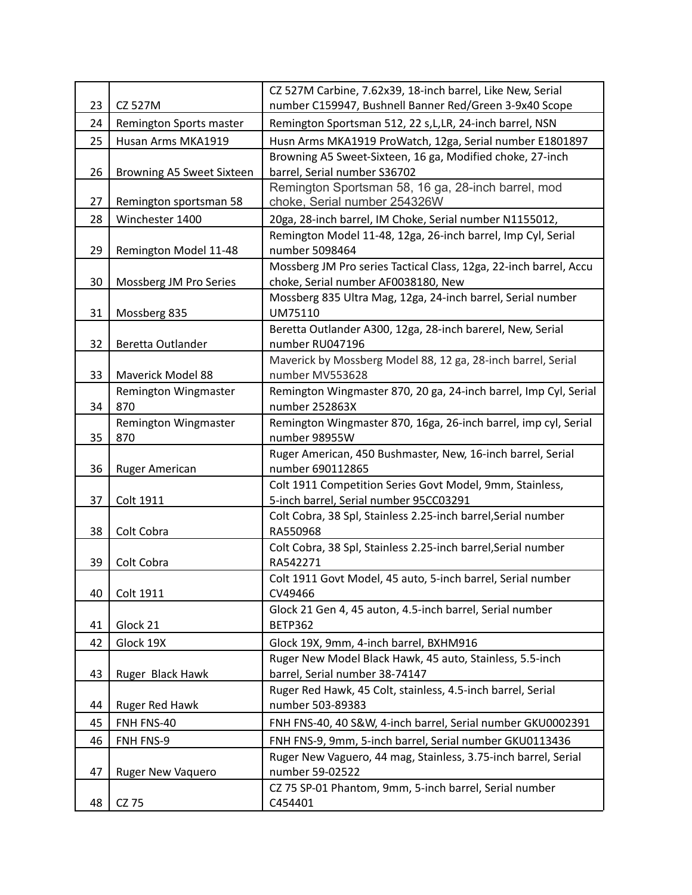| 23 | CZ 527M                   | CZ 527M Carbine, 7.62x39, 18-inch barrel, Like New, Serial<br>number C159947, Bushnell Banner Red/Green 3-9x40 Scope |
|----|---------------------------|----------------------------------------------------------------------------------------------------------------------|
| 24 | Remington Sports master   | Remington Sportsman 512, 22 s, L, LR, 24-inch barrel, NSN                                                            |
| 25 |                           |                                                                                                                      |
|    | Husan Arms MKA1919        | Husn Arms MKA1919 ProWatch, 12ga, Serial number E1801897                                                             |
| 26 | Browning A5 Sweet Sixteen | Browning A5 Sweet-Sixteen, 16 ga, Modified choke, 27-inch<br>barrel, Serial number S36702                            |
| 27 | Remington sportsman 58    | Remington Sportsman 58, 16 ga, 28-inch barrel, mod<br>choke, Serial number 254326W                                   |
| 28 | Winchester 1400           | 20ga, 28-inch barrel, IM Choke, Serial number N1155012,                                                              |
| 29 | Remington Model 11-48     | Remington Model 11-48, 12ga, 26-inch barrel, Imp Cyl, Serial<br>number 5098464                                       |
| 30 | Mossberg JM Pro Series    | Mossberg JM Pro series Tactical Class, 12ga, 22-inch barrel, Accu<br>choke, Serial number AF0038180, New             |
| 31 | Mossberg 835              | Mossberg 835 Ultra Mag, 12ga, 24-inch barrel, Serial number<br>UM75110                                               |
| 32 | Beretta Outlander         | Beretta Outlander A300, 12ga, 28-inch barerel, New, Serial<br>number RU047196                                        |
| 33 | Maverick Model 88         | Maverick by Mossberg Model 88, 12 ga, 28-inch barrel, Serial<br>number MV553628                                      |
|    | Remington Wingmaster      | Remington Wingmaster 870, 20 ga, 24-inch barrel, Imp Cyl, Serial                                                     |
| 34 | 870                       | number 252863X                                                                                                       |
|    | Remington Wingmaster      | Remington Wingmaster 870, 16ga, 26-inch barrel, imp cyl, Serial                                                      |
| 35 | 870                       | number 98955W                                                                                                        |
| 36 | <b>Ruger American</b>     | Ruger American, 450 Bushmaster, New, 16-inch barrel, Serial<br>number 690112865                                      |
|    |                           | Colt 1911 Competition Series Govt Model, 9mm, Stainless,                                                             |
| 37 | Colt 1911                 | 5-inch barrel, Serial number 95CC03291                                                                               |
| 38 | Colt Cobra                | Colt Cobra, 38 Spl, Stainless 2.25-inch barrel, Serial number<br>RA550968                                            |
| 39 | Colt Cobra                | Colt Cobra, 38 Spl, Stainless 2.25-inch barrel, Serial number<br>RA542271                                            |
| 40 | Colt 1911                 | Colt 1911 Govt Model, 45 auto, 5-inch barrel, Serial number<br>CV49466                                               |
| 41 | Glock 21                  | Glock 21 Gen 4, 45 auton, 4.5-inch barrel, Serial number<br><b>BETP362</b>                                           |
| 42 | Glock 19X                 | Glock 19X, 9mm, 4-inch barrel, BXHM916                                                                               |
|    |                           | Ruger New Model Black Hawk, 45 auto, Stainless, 5.5-inch                                                             |
| 43 | Ruger Black Hawk          | barrel, Serial number 38-74147                                                                                       |
|    |                           | Ruger Red Hawk, 45 Colt, stainless, 4.5-inch barrel, Serial                                                          |
| 44 | Ruger Red Hawk            | number 503-89383                                                                                                     |
| 45 | FNH FNS-40                | FNH FNS-40, 40 S&W, 4-inch barrel, Serial number GKU0002391                                                          |
| 46 | FNH FNS-9                 | FNH FNS-9, 9mm, 5-inch barrel, Serial number GKU0113436                                                              |
| 47 | <b>Ruger New Vaquero</b>  | Ruger New Vaguero, 44 mag, Stainless, 3.75-inch barrel, Serial<br>number 59-02522                                    |
|    |                           | CZ 75 SP-01 Phantom, 9mm, 5-inch barrel, Serial number                                                               |
| 48 | CZ 75                     | C454401                                                                                                              |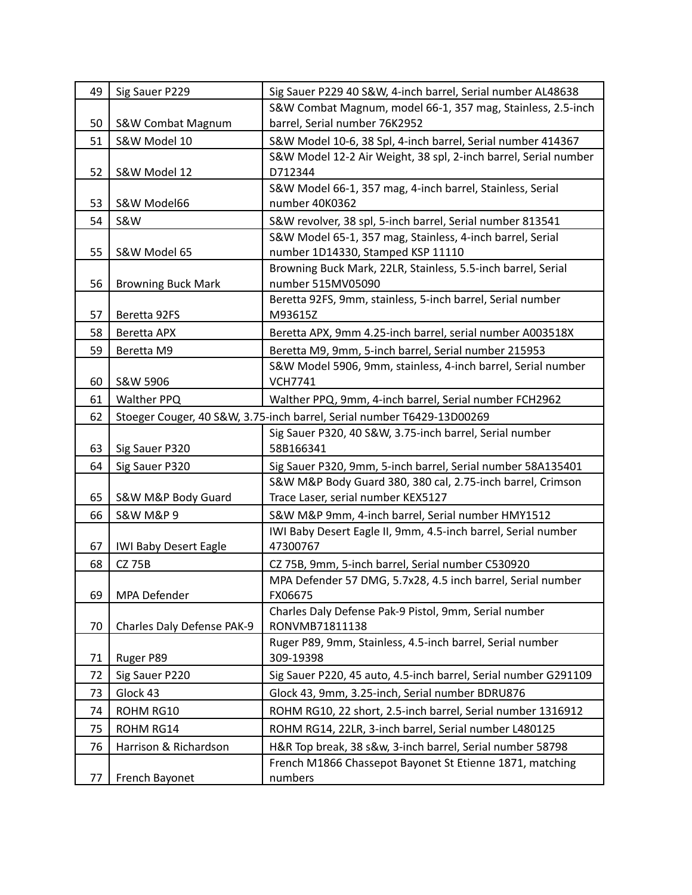| 49       | Sig Sauer P229               | Sig Sauer P229 40 S&W, 4-inch barrel, Serial number AL48638                                                               |
|----------|------------------------------|---------------------------------------------------------------------------------------------------------------------------|
|          |                              | S&W Combat Magnum, model 66-1, 357 mag, Stainless, 2.5-inch                                                               |
| 50       | S&W Combat Magnum            | barrel, Serial number 76K2952                                                                                             |
| 51       | S&W Model 10                 | S&W Model 10-6, 38 Spl, 4-inch barrel, Serial number 414367                                                               |
|          |                              | S&W Model 12-2 Air Weight, 38 spl, 2-inch barrel, Serial number                                                           |
| 52       | S&W Model 12                 | D712344                                                                                                                   |
| 53       | S&W Model66                  | S&W Model 66-1, 357 mag, 4-inch barrel, Stainless, Serial<br>number 40K0362                                               |
| 54       | <b>S&amp;W</b>               | S&W revolver, 38 spl, 5-inch barrel, Serial number 813541                                                                 |
|          |                              | S&W Model 65-1, 357 mag, Stainless, 4-inch barrel, Serial                                                                 |
| 55       | S&W Model 65                 | number 1D14330, Stamped KSP 11110                                                                                         |
|          |                              | Browning Buck Mark, 22LR, Stainless, 5.5-inch barrel, Serial                                                              |
| 56       | <b>Browning Buck Mark</b>    | number 515MV05090                                                                                                         |
|          |                              | Beretta 92FS, 9mm, stainless, 5-inch barrel, Serial number                                                                |
| 57       | Beretta 92FS                 | M93615Z                                                                                                                   |
| 58       | Beretta APX                  | Beretta APX, 9mm 4.25-inch barrel, serial number A003518X                                                                 |
| 59       | Beretta M9                   | Beretta M9, 9mm, 5-inch barrel, Serial number 215953                                                                      |
|          |                              | S&W Model 5906, 9mm, stainless, 4-inch barrel, Serial number                                                              |
| 60       | S&W 5906                     | <b>VCH7741</b>                                                                                                            |
| 61       | Walther PPQ                  | Walther PPQ, 9mm, 4-inch barrel, Serial number FCH2962                                                                    |
| 62       |                              | Stoeger Couger, 40 S&W, 3.75-inch barrel, Serial number T6429-13D00269                                                    |
|          |                              | Sig Sauer P320, 40 S&W, 3.75-inch barrel, Serial number<br>58B166341                                                      |
| 63<br>64 | Sig Sauer P320               |                                                                                                                           |
|          | Sig Sauer P320               | Sig Sauer P320, 9mm, 5-inch barrel, Serial number 58A135401<br>S&W M&P Body Guard 380, 380 cal, 2.75-inch barrel, Crimson |
| 65       | S&W M&P Body Guard           | Trace Laser, serial number KEX5127                                                                                        |
| 66       | <b>S&amp;W M&amp;P 9</b>     | S&W M&P 9mm, 4-inch barrel, Serial number HMY1512                                                                         |
|          |                              | IWI Baby Desert Eagle II, 9mm, 4.5-inch barrel, Serial number                                                             |
| 67       | <b>IWI Baby Desert Eagle</b> | 47300767                                                                                                                  |
| 68       | <b>CZ 75B</b>                | CZ 75B, 9mm, 5-inch barrel, Serial number C530920                                                                         |
|          |                              | MPA Defender 57 DMG, 5.7x28, 4.5 inch barrel, Serial number                                                               |
| 69       | MPA Defender                 | FX06675                                                                                                                   |
|          |                              | Charles Daly Defense Pak-9 Pistol, 9mm, Serial number                                                                     |
| 70       | Charles Daly Defense PAK-9   | RONVMB71811138                                                                                                            |
| 71       | Ruger P89                    | Ruger P89, 9mm, Stainless, 4.5-inch barrel, Serial number<br>309-19398                                                    |
| 72       | Sig Sauer P220               | Sig Sauer P220, 45 auto, 4.5-inch barrel, Serial number G291109                                                           |
| 73       | Glock 43                     | Glock 43, 9mm, 3.25-inch, Serial number BDRU876                                                                           |
| 74       | ROHM RG10                    | ROHM RG10, 22 short, 2.5-inch barrel, Serial number 1316912                                                               |
|          | ROHM RG14                    |                                                                                                                           |
| 75       |                              | ROHM RG14, 22LR, 3-inch barrel, Serial number L480125                                                                     |
| 76       | Harrison & Richardson        | H&R Top break, 38 s&w, 3-inch barrel, Serial number 58798<br>French M1866 Chassepot Bayonet St Etienne 1871, matching     |
| 77       | French Bayonet               | numbers                                                                                                                   |
|          |                              |                                                                                                                           |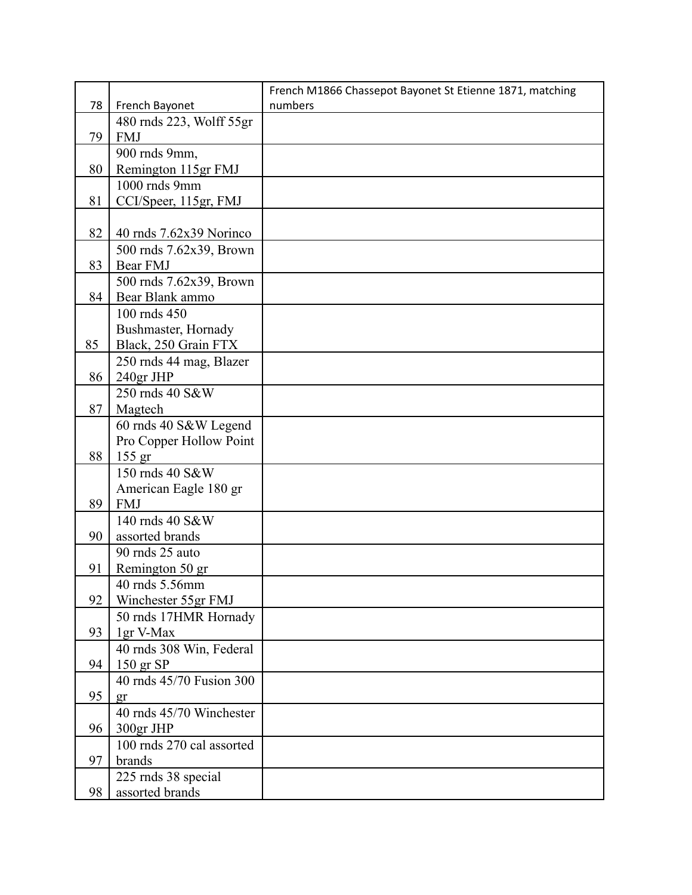|    |                                             | French M1866 Chassepot Bayonet St Etienne 1871, matching |
|----|---------------------------------------------|----------------------------------------------------------|
| 78 | French Bayonet                              | numbers                                                  |
|    | 480 rnds 223, Wolff 55gr                    |                                                          |
| 79 | <b>FMJ</b>                                  |                                                          |
|    | 900 rnds 9mm,                               |                                                          |
| 80 | Remington 115gr FMJ                         |                                                          |
|    | 1000 rnds 9mm                               |                                                          |
| 81 | CCI/Speer, 115gr, FMJ                       |                                                          |
|    |                                             |                                                          |
| 82 | 40 rnds $7.62x39$ Norinco                   |                                                          |
|    | 500 rnds 7.62x39, Brown                     |                                                          |
| 83 | Bear FMJ                                    |                                                          |
|    | 500 rnds 7.62x39, Brown                     |                                                          |
| 84 | Bear Blank ammo                             |                                                          |
|    | 100 rnds 450                                |                                                          |
| 85 | Bushmaster, Hornady<br>Black, 250 Grain FTX |                                                          |
|    | 250 rnds 44 mag, Blazer                     |                                                          |
| 86 | 240gr JHP                                   |                                                          |
|    | 250 rnds 40 S&W                             |                                                          |
| 87 | Magtech                                     |                                                          |
|    | 60 rnds 40 S&W Legend                       |                                                          |
|    | Pro Copper Hollow Point                     |                                                          |
| 88 | $155$ gr                                    |                                                          |
|    | 150 rnds 40 S&W                             |                                                          |
|    | American Eagle 180 gr                       |                                                          |
| 89 | <b>FMJ</b>                                  |                                                          |
|    | 140 rnds 40 S&W                             |                                                          |
| 90 | assorted brands                             |                                                          |
|    | 90 mds 25 auto                              |                                                          |
| 91 | Remington 50 gr                             |                                                          |
|    | 40 rnds 5.56mm                              |                                                          |
| 92 | Winchester 55gr FMJ                         |                                                          |
|    | 50 rnds 17HMR Hornady                       |                                                          |
| 93 | 1gr V-Max                                   |                                                          |
|    | 40 rnds 308 Win, Federal                    |                                                          |
| 94 | $150$ gr SP                                 |                                                          |
|    | 40 rnds 45/70 Fusion 300                    |                                                          |
| 95 | gr                                          |                                                          |
|    | 40 rnds 45/70 Winchester                    |                                                          |
| 96 | 300gr JHP                                   |                                                          |
| 97 | 100 rnds 270 cal assorted<br>brands         |                                                          |
|    | 225 rnds 38 special                         |                                                          |
| 98 | assorted brands                             |                                                          |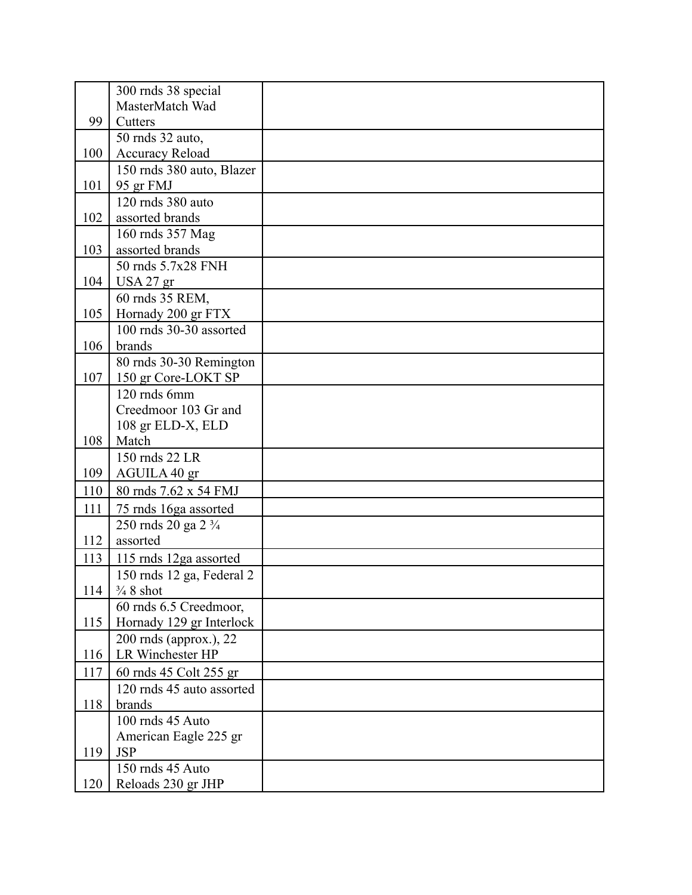|     | 300 rnds 38 special                                 |  |
|-----|-----------------------------------------------------|--|
|     | MasterMatch Wad                                     |  |
| 99  | Cutters                                             |  |
|     | 50 mds 32 auto,                                     |  |
| 100 | <b>Accuracy Reload</b>                              |  |
|     | 150 rnds 380 auto, Blazer                           |  |
| 101 | 95 gr FMJ                                           |  |
|     | 120 rnds 380 auto                                   |  |
| 102 | assorted brands                                     |  |
|     | 160 rnds 357 Mag                                    |  |
| 103 | assorted brands                                     |  |
|     | 50 mds 5.7x28 FNH                                   |  |
| 104 | USA 27 gr                                           |  |
|     | 60 mds 35 REM,                                      |  |
| 105 | Hornady 200 gr FTX                                  |  |
|     | 100 rnds 30-30 assorted                             |  |
| 106 | brands                                              |  |
|     | 80 rnds 30-30 Remington                             |  |
| 107 | 150 gr Core-LOKT SP                                 |  |
|     | 120 rnds 6mm                                        |  |
|     | Creedmoor 103 Gr and                                |  |
|     | 108 gr ELD-X, ELD                                   |  |
| 108 | Match<br>150 mds 22 LR                              |  |
| 109 | AGUILA 40 gr                                        |  |
|     |                                                     |  |
| 110 | 80 rnds 7.62 x 54 FMJ                               |  |
| 111 | 75 rnds 16ga assorted                               |  |
|     | 250 rnds 20 ga 2 3/4                                |  |
| 112 | assorted                                            |  |
| 113 | 115 rnds 12ga assorted                              |  |
| 114 | 150 rnds 12 ga, Federal 2<br>$\frac{3}{4}$ 8 shot   |  |
|     |                                                     |  |
| 115 | 60 rnds 6.5 Creedmoor,                              |  |
|     | Hornady 129 gr Interlock<br>200 rnds (approx.), 22  |  |
| 116 | LR Winchester HP                                    |  |
| 117 |                                                     |  |
|     | 60 rnds 45 Colt 255 gr<br>120 rnds 45 auto assorted |  |
| 118 | brands                                              |  |
|     | 100 rnds 45 Auto                                    |  |
|     | American Eagle 225 gr                               |  |
| 119 | <b>JSP</b>                                          |  |
|     | 150 rnds 45 Auto                                    |  |
| 120 | Reloads 230 gr JHP                                  |  |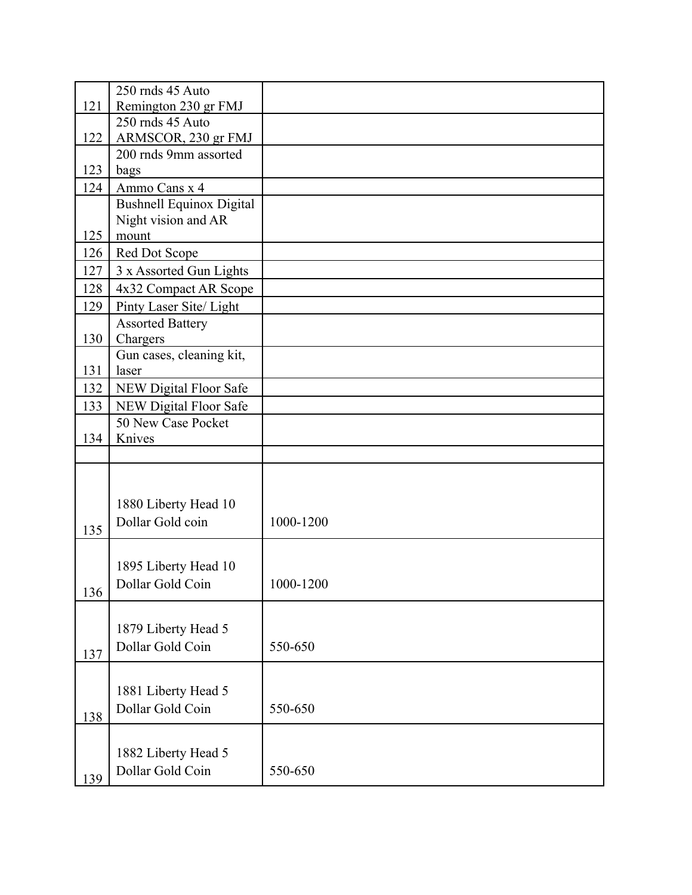|     | 250 rnds 45 Auto                        |           |
|-----|-----------------------------------------|-----------|
| 121 | Remington 230 gr FMJ                    |           |
|     | 250 rnds 45 Auto                        |           |
| 122 | ARMSCOR, 230 gr FMJ                     |           |
|     | 200 rnds 9mm assorted                   |           |
| 123 | bags                                    |           |
| 124 | Ammo Cans x 4                           |           |
|     | <b>Bushnell Equinox Digital</b>         |           |
|     | Night vision and AR                     |           |
| 125 | mount                                   |           |
| 126 | Red Dot Scope                           |           |
| 127 | 3 x Assorted Gun Lights                 |           |
| 128 | 4x32 Compact AR Scope                   |           |
| 129 | Pinty Laser Site/ Light                 |           |
|     | <b>Assorted Battery</b>                 |           |
| 130 | Chargers                                |           |
|     | Gun cases, cleaning kit,                |           |
| 131 | laser                                   |           |
| 132 | NEW Digital Floor Safe                  |           |
| 133 | NEW Digital Floor Safe                  |           |
|     | 50 New Case Pocket                      |           |
| 134 | Knives                                  |           |
|     |                                         |           |
|     |                                         |           |
|     |                                         |           |
|     | 1880 Liberty Head 10                    |           |
| 135 | Dollar Gold coin                        | 1000-1200 |
|     |                                         |           |
|     |                                         |           |
|     | 1895 Liberty Head 10                    |           |
| 136 | Dollar Gold Coin                        | 1000-1200 |
|     |                                         |           |
|     | 1879 Liberty Head 5                     |           |
|     | Dollar Gold Coin                        | 550-650   |
| 137 |                                         |           |
|     |                                         |           |
|     | 1881 Liberty Head 5                     |           |
| 138 | Dollar Gold Coin                        | 550-650   |
|     |                                         |           |
|     |                                         |           |
|     |                                         |           |
|     | 1882 Liberty Head 5<br>Dollar Gold Coin | 550-650   |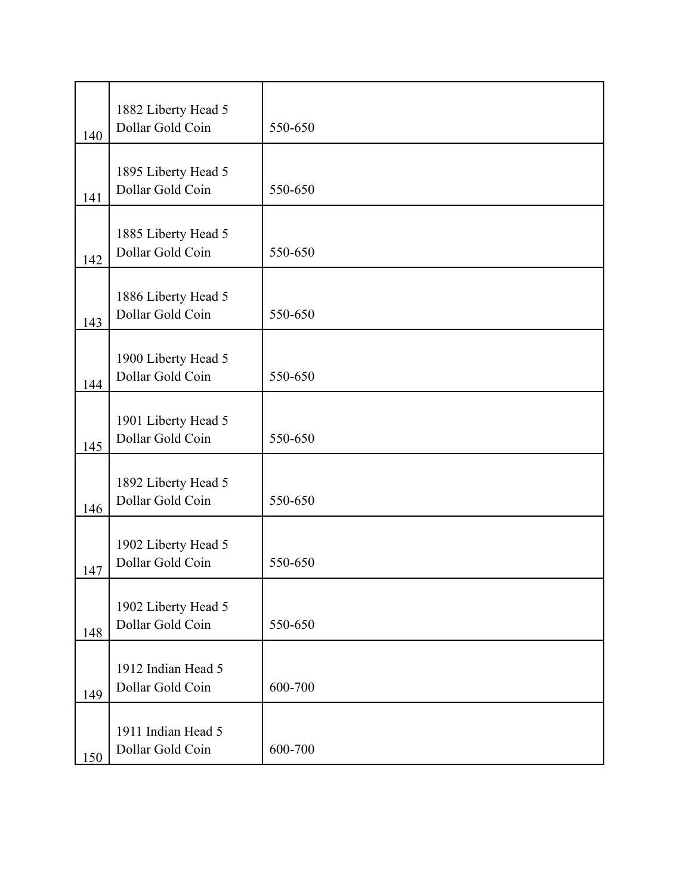| 140 | 1882 Liberty Head 5<br>Dollar Gold Coin | 550-650 |
|-----|-----------------------------------------|---------|
| 141 | 1895 Liberty Head 5<br>Dollar Gold Coin | 550-650 |
| 142 | 1885 Liberty Head 5<br>Dollar Gold Coin | 550-650 |
| 143 | 1886 Liberty Head 5<br>Dollar Gold Coin | 550-650 |
| 144 | 1900 Liberty Head 5<br>Dollar Gold Coin | 550-650 |
| 145 | 1901 Liberty Head 5<br>Dollar Gold Coin | 550-650 |
| 146 | 1892 Liberty Head 5<br>Dollar Gold Coin | 550-650 |
| 147 | 1902 Liberty Head 5<br>Dollar Gold Coin | 550-650 |
| 148 | 1902 Liberty Head 5<br>Dollar Gold Coin | 550-650 |
| 149 | 1912 Indian Head 5<br>Dollar Gold Coin  | 600-700 |
| 150 | 1911 Indian Head 5<br>Dollar Gold Coin  | 600-700 |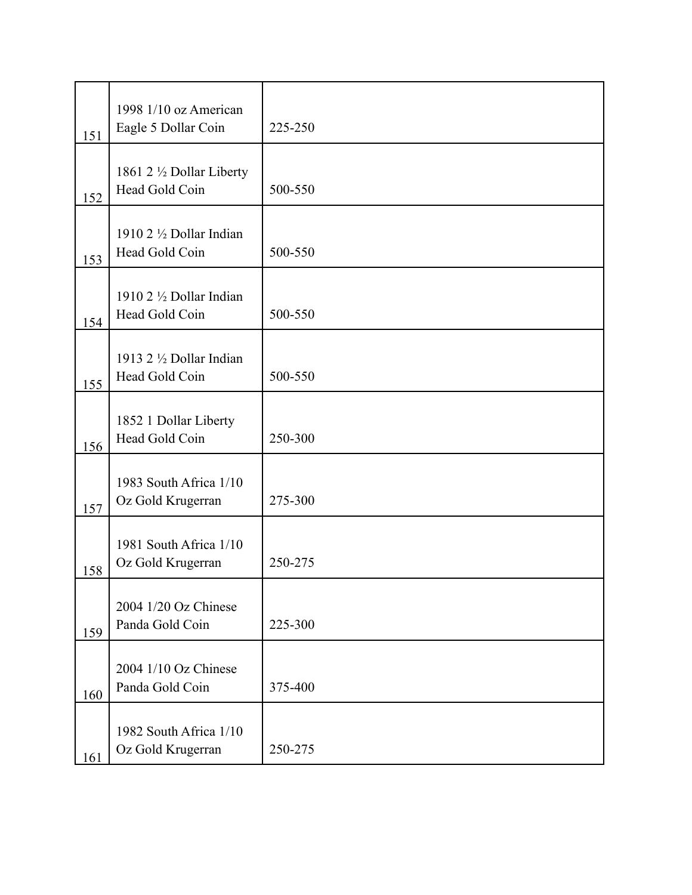| 151 | 1998 1/10 oz American<br>Eagle 5 Dollar Coin        | 225-250 |
|-----|-----------------------------------------------------|---------|
| 152 | 1861 2 1/2 Dollar Liberty<br>Head Gold Coin         | 500-550 |
| 153 | 1910 2 1/2 Dollar Indian<br>Head Gold Coin          | 500-550 |
| 154 | 1910 $2\frac{1}{2}$ Dollar Indian<br>Head Gold Coin | 500-550 |
| 155 | 1913 2 1/2 Dollar Indian<br>Head Gold Coin          | 500-550 |
| 156 | 1852 1 Dollar Liberty<br>Head Gold Coin             | 250-300 |
| 157 | 1983 South Africa 1/10<br>Oz Gold Krugerran         | 275-300 |
| 158 | 1981 South Africa 1/10<br>Oz Gold Krugerran         | 250-275 |
| 159 | 2004 1/20 Oz Chinese<br>Panda Gold Coin             | 225-300 |
| 160 | 2004 1/10 Oz Chinese<br>Panda Gold Coin             | 375-400 |
| 161 | 1982 South Africa 1/10<br>Oz Gold Krugerran         | 250-275 |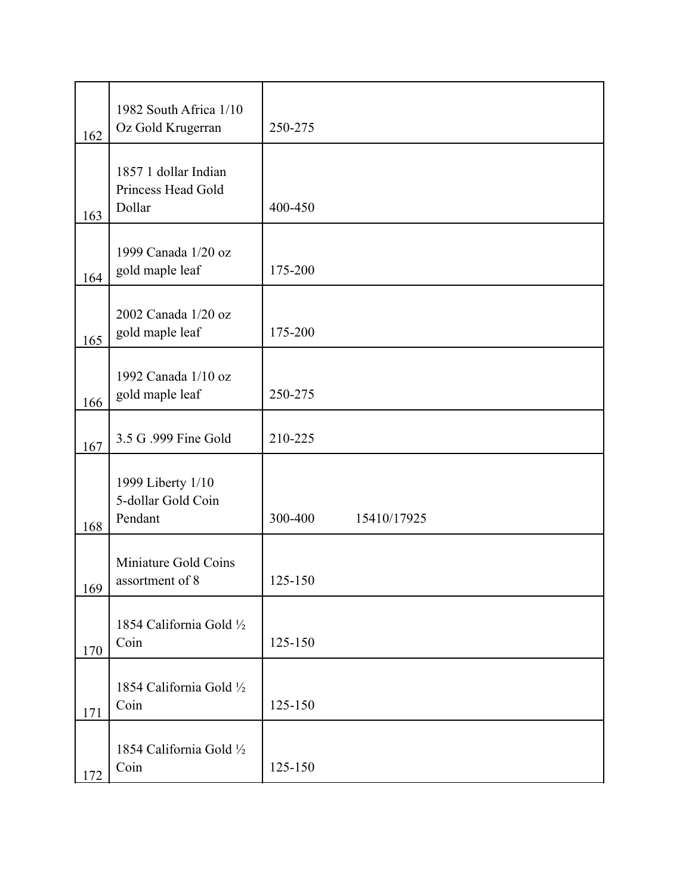|     | 1982 South Africa 1/10                               |                        |
|-----|------------------------------------------------------|------------------------|
| 162 | Oz Gold Krugerran                                    | 250-275                |
| 163 | 1857 1 dollar Indian<br>Princess Head Gold<br>Dollar | 400-450                |
| 164 | 1999 Canada 1/20 oz<br>gold maple leaf               | 175-200                |
| 165 | 2002 Canada 1/20 oz<br>gold maple leaf               | 175-200                |
| 166 | 1992 Canada 1/10 oz<br>gold maple leaf               | 250-275                |
| 167 | 3.5 G .999 Fine Gold                                 | 210-225                |
| 168 | 1999 Liberty 1/10<br>5-dollar Gold Coin<br>Pendant   | 300-400<br>15410/17925 |
| 169 | Miniature Gold Coins<br>assortment of 8              | 125-150                |
| 170 | 1854 California Gold 1/2<br>Coin                     | 125-150                |
| 171 | 1854 California Gold 1/2<br>Coin                     | 125-150                |
| 172 | 1854 California Gold 1/2<br>Coin                     | 125-150                |